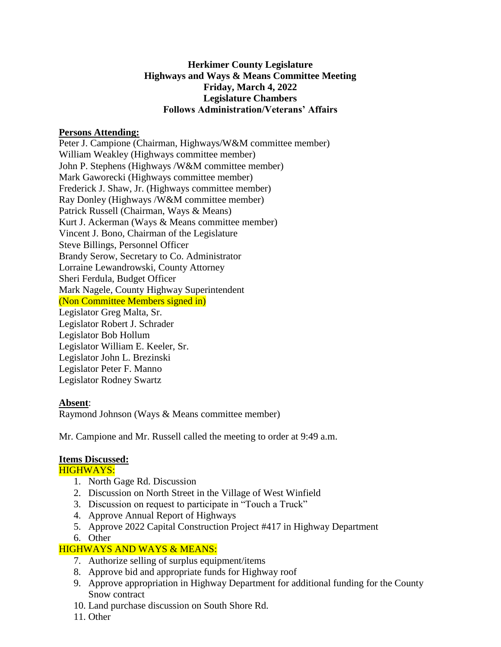# **Herkimer County Legislature Highways and Ways & Means Committee Meeting Friday, March 4, 2022 Legislature Chambers Follows Administration/Veterans' Affairs**

#### **Persons Attending:**

Peter J. Campione (Chairman, Highways/W&M committee member) William Weakley (Highways committee member) John P. Stephens (Highways /W&M committee member) Mark Gaworecki (Highways committee member) Frederick J. Shaw, Jr. (Highways committee member) Ray Donley (Highways /W&M committee member) Patrick Russell (Chairman, Ways & Means) Kurt J. Ackerman (Ways & Means committee member) Vincent J. Bono, Chairman of the Legislature Steve Billings, Personnel Officer Brandy Serow, Secretary to Co. Administrator Lorraine Lewandrowski, County Attorney Sheri Ferdula, Budget Officer Mark Nagele, County Highway Superintendent (Non Committee Members signed in) Legislator Greg Malta, Sr. Legislator Robert J. Schrader Legislator Bob Hollum Legislator William E. Keeler, Sr. Legislator John L. Brezinski Legislator Peter F. Manno Legislator Rodney Swartz

# **Absent**:

Raymond Johnson (Ways & Means committee member)

Mr. Campione and Mr. Russell called the meeting to order at 9:49 a.m.

# **Items Discussed:**

HIGHWAYS:

- 1. North Gage Rd. Discussion
- 2. Discussion on North Street in the Village of West Winfield
- 3. Discussion on request to participate in "Touch a Truck"
- 4. Approve Annual Report of Highways
- 5. Approve 2022 Capital Construction Project #417 in Highway Department
- 6. Other

# HIGHWAYS AND WAYS & MEANS:

- 7. Authorize selling of surplus equipment/items
- 8. Approve bid and appropriate funds for Highway roof
- 9. Approve appropriation in Highway Department for additional funding for the County Snow contract
- 10. Land purchase discussion on South Shore Rd.
- 11. Other